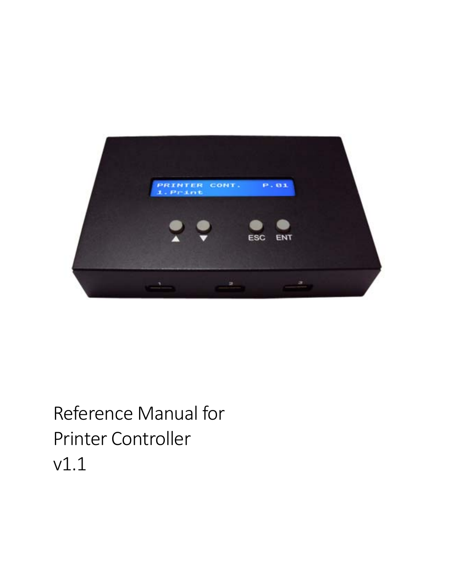

# Reference Manual for Printer Controller v1.1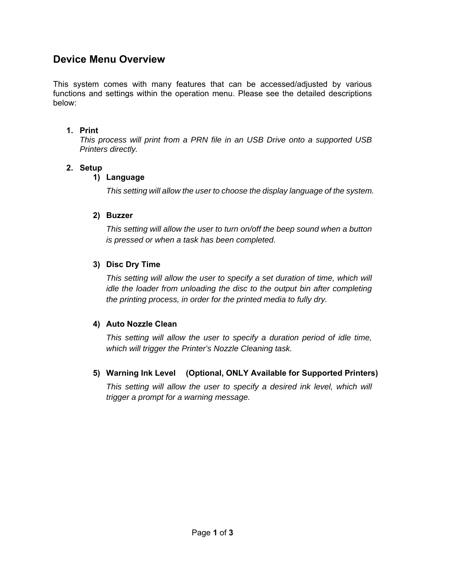## **Device Menu Overview**

This system comes with many features that can be accessed/adjusted by various functions and settings within the operation menu. Please see the detailed descriptions below:

### **1. Print**

*This process will print from a PRN file in an USB Drive onto a supported USB Printers directly.* 

## **2. Setup**

## **1) Language**

*This setting will allow the user to choose the display language of the system.* 

## **2) Buzzer**

*This setting will allow the user to turn on/off the beep sound when a button is pressed or when a task has been completed.* 

## **3) Disc Dry Time**

*This setting will allow the user to specify a set duration of time, which will idle the loader from unloading the disc to the output bin after completing the printing process, in order for the printed media to fully dry.* 

## **4) Auto Nozzle Clean**

*This setting will allow the user to specify a duration period of idle time, which will trigger the Printer's Nozzle Cleaning task.* 

## **5) Warning Ink Level (Optional, ONLY Available for Supported Printers)**

This setting will allow the user to specify a desired ink level, which will *trigger a prompt for a warning message.*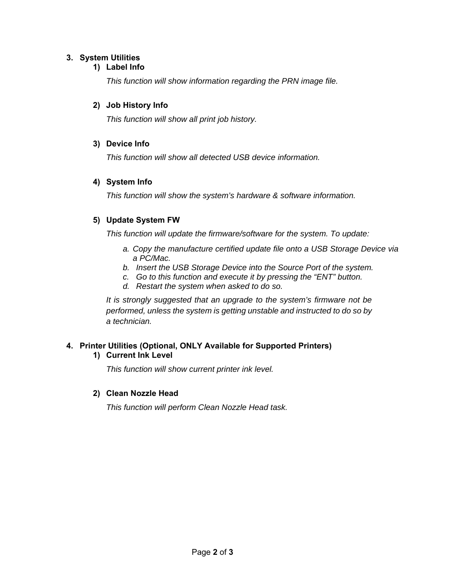#### **3. System Utilities**

#### **1) Label Info**

*This function will show information regarding the PRN image file.* 

#### **2) Job History Info**

*This function will show all print job history.* 

#### **3) Device Info**

*This function will show all detected USB device information.* 

#### **4) System Info**

*This function will show the system's hardware & software information.* 

#### **5) Update System FW**

*This function will update the firmware/software for the system. To update:* 

- *a. Copy the manufacture certified update file onto a USB Storage Device via a PC/Mac.*
- *b. Insert the USB Storage Device into the Source Port of the system.*
- *c. Go to this function and execute it by pressing the "ENT" button.*
- *d. Restart the system when asked to do so.*

*It is strongly suggested that an upgrade to the system's firmware not be performed, unless the system is getting unstable and instructed to do so by a technician.* 

## **4. Printer Utilities (Optional, ONLY Available for Supported Printers)**

#### **1) Current Ink Level**

*This function will show current printer ink level.* 

#### **2) Clean Nozzle Head**

*This function will perform Clean Nozzle Head task.*